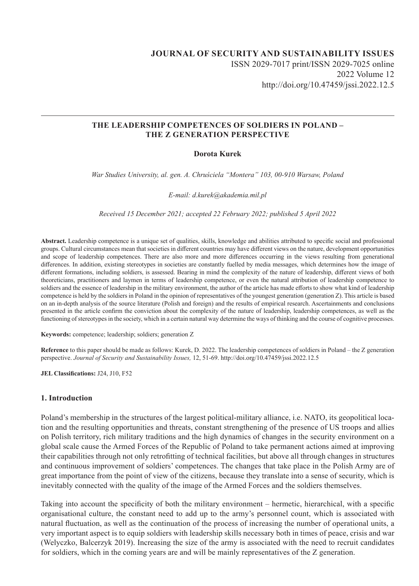# **JOURNAL OF SECURITY AND SUSTAINABILITY ISSUES** ISSN 2029-7017 print/ISSN 2029-7025 online 2022 Volume 12 http://doi.org/10.47459/jssi.2022.12.5

### **THE LEADERSHIP COMPETENCES OF SOLDIERS IN POLAND – THE Z GENERATION PERSPECTIVE**

### **Dorota Kurek**

*War Studies University, al. gen. A. Chruściela "Montera" 103, 00-910 Warsaw, Poland*

*E-mail: d.kurek@akademia.mil.pl* 

*Received 15 December 2021; accepted 22 February 2022; published 5 April 2022*

**Abstract.** Leadership competence is a unique set of qualities, skills, knowledge and abilities attributed to specific social and professional groups. Cultural circumstances mean that societies in different countries may have different views on the nature, development opportunities and scope of leadership competences. There are also more and more differences occurring in the views resulting from generational differences. In addition, existing stereotypes in societies are constantly fuelled by media messages, which determines how the image of different formations, including soldiers, is assessed. Bearing in mind the complexity of the nature of leadership, different views of both theoreticians, practitioners and laymen in terms of leadership competence, or even the natural attribution of leadership competence to soldiers and the essence of leadership in the military environment, the author of the article has made efforts to show what kind of leadership competence is held by the soldiers in Poland in the opinion of representatives of the youngest generation (generation Z). This article is based on an in-depth analysis of the source literature (Polish and foreign) and the results of empirical research. Ascertainments and conclusions presented in the article confirm the conviction about the complexity of the nature of leadership, leadership competences, as well as the functioning of stereotypes in the society, which in a certain natural way determine the ways of thinking and the course of cognitive processes.

**Keywords:** competence; leadership; soldiers; generation Z

**Reference** to this paper should be made as follows: Kurek, D. 2022. The leadership competences of soldiers in Poland – the Z generation perspective. *Journal of Security and Sustainability Issues,* 12, 51-69. http://doi.org/10.47459/jssi.2022.12.5

**JEL Classifications:** J24, J10, F52

#### **1. Introduction**

Poland's membership in the structures of the largest political-military alliance, i.e. NATO, its geopolitical location and the resulting opportunities and threats, constant strengthening of the presence of US troops and allies on Polish territory, rich military traditions and the high dynamics of changes in the security environment on a global scale cause the Armed Forces of the Republic of Poland to take permanent actions aimed at improving their capabilities through not only retrofitting of technical facilities, but above all through changes in structures and continuous improvement of soldiers' competences. The changes that take place in the Polish Army are of great importance from the point of view of the citizens, because they translate into a sense of security, which is inevitably connected with the quality of the image of the Armed Forces and the soldiers themselves.

Taking into account the specificity of both the military environment – hermetic, hierarchical, with a specific organisational culture, the constant need to add up to the army's personnel count, which is associated with natural fluctuation, as well as the continuation of the process of increasing the number of operational units, a very important aspect is to equip soldiers with leadership skills necessary both in times of peace, crisis and war (Welyczko, Balcerzyk 2019). Increasing the size of the army is associated with the need to recruit candidates for soldiers, which in the coming years are and will be mainly representatives of the Z generation.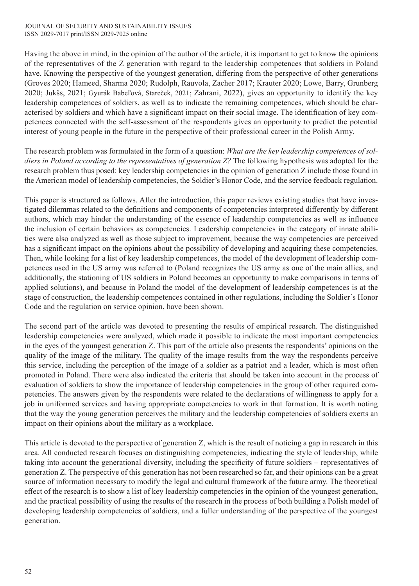Having the above in mind, in the opinion of the author of the article, it is important to get to know the opinions of the representatives of the Z generation with regard to the leadership competences that soldiers in Poland have. Knowing the perspective of the youngest generation, differing from the perspective of other generations (Groves 2020; Hameed, Sharma 2020; Rudolph, Rauvola, Zacher 2017; Krauter 2020; Lowe, Barry, Grunberg 2020; Jukšs, 2021; Gyurák Babeľová, Stareček, 2021; Zahrani, 2022), gives an opportunity to identify the key leadership competences of soldiers, as well as to indicate the remaining competences, which should be characterised by soldiers and which have a significant impact on their social image. The identification of key competences connected with the self-assessment of the respondents gives an opportunity to predict the potential interest of young people in the future in the perspective of their professional career in the Polish Army.

The research problem was formulated in the form of a question: *What are the key leadership competences of soldiers in Poland according to the representatives of generation Z?* The following hypothesis was adopted for the research problem thus posed: key leadership competencies in the opinion of generation Z include those found in the American model of leadership competencies, the Soldier's Honor Code, and the service feedback regulation.

This paper is structured as follows. After the introduction, this paper reviews existing studies that have investigated dilemmas related to the definitions and components of competencies interpreted differently by different authors, which may hinder the understanding of the essence of leadership competencies as well as influence the inclusion of certain behaviors as competencies. Leadership competencies in the category of innate abilities were also analyzed as well as those subject to improvement, because the way competencies are perceived has a significant impact on the opinions about the possibility of developing and acquiring these competencies. Then, while looking for a list of key leadership competences, the model of the development of leadership competences used in the US army was referred to (Poland recognizes the US army as one of the main allies, and additionally, the stationing of US soldiers in Poland becomes an opportunity to make comparisons in terms of applied solutions), and because in Poland the model of the development of leadership competences is at the stage of construction, the leadership competences contained in other regulations, including the Soldier's Honor Code and the regulation on service opinion, have been shown.

The second part of the article was devoted to presenting the results of empirical research. The distinguished leadership competencies were analyzed, which made it possible to indicate the most important competencies in the eyes of the youngest generation Z. This part of the article also presents the respondents' opinions on the quality of the image of the military. The quality of the image results from the way the respondents perceive this service, including the perception of the image of a soldier as a patriot and a leader, which is most often promoted in Poland. There were also indicated the criteria that should be taken into account in the process of evaluation of soldiers to show the importance of leadership competencies in the group of other required competencies. The answers given by the respondents were related to the declarations of willingness to apply for a job in uniformed services and having appropriate competencies to work in that formation. It is worth noting that the way the young generation perceives the military and the leadership competencies of soldiers exerts an impact on their opinions about the military as a workplace.

This article is devoted to the perspective of generation Z, which is the result of noticing a gap in research in this area. All conducted research focuses on distinguishing competencies, indicating the style of leadership, while taking into account the generational diversity, including the specificity of future soldiers – representatives of generation Z. The perspective of this generation has not been researched so far, and their opinions can be a great source of information necessary to modify the legal and cultural framework of the future army. The theoretical effect of the research is to show a list of key leadership competencies in the opinion of the youngest generation, and the practical possibility of using the results of the research in the process of both building a Polish model of developing leadership competencies of soldiers, and a fuller understanding of the perspective of the youngest generation.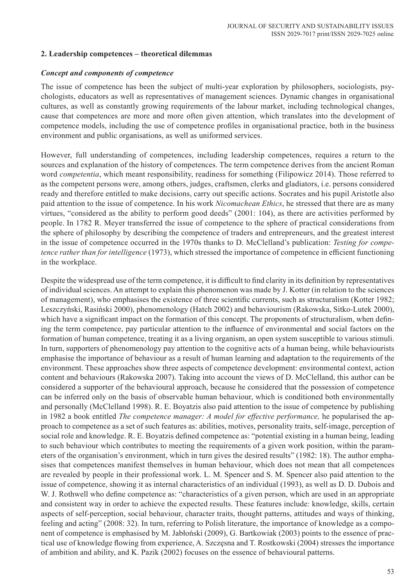## **2. Leadership competences – theoretical dilemmas**

### *Concept and components of competence*

The issue of competence has been the subject of multi-year exploration by philosophers, sociologists, psychologists, educators as well as representatives of management sciences. Dynamic changes in organisational cultures, as well as constantly growing requirements of the labour market, including technological changes, cause that competences are more and more often given attention, which translates into the development of competence models, including the use of competence profiles in organisational practice, both in the business environment and public organisations, as well as uniformed services.

However, full understanding of competences, including leadership competences, requires a return to the sources and explanation of the history of competences. The term competence derives from the ancient Roman word *competentia*, which meant responsibility, readiness for something (Filipowicz 2014). Those referred to as the competent persons were, among others, judges, craftsmen, clerks and gladiators, i.e. persons considered ready and therefore entitled to make decisions, carry out specific actions. Socrates and his pupil Aristotle also paid attention to the issue of competence. In his work *Nicomachean Ethics*, he stressed that there are as many virtues, "considered as the ability to perform good deeds" (2001: 104), as there are activities performed by people. In 1782 R. Meyer transferred the issue of competence to the sphere of practical considerations from the sphere of philosophy by describing the competence of traders and entrepreneurs, and the greatest interest in the issue of competence occurred in the 1970s thanks to D. McClelland's publication: *Testing for competence rather than for intelligence* (1973), which stressed the importance of competence in efficient functioning in the workplace.

Despite the widespread use of the term competence, it is difficult to find clarity in its definition by representatives of individual sciences. An attempt to explain this phenomenon was made by J. Kotter (in relation to the sciences of management), who emphasises the existence of three scientific currents, such as structuralism (Kotter 1982; Leszczyński, Rasiński 2000), phenomenology (Hatch 2002) and behaviourism (Rakowska, Sitko-Lutek 2000), which have a significant impact on the formation of this concept. The proponents of structuralism, when defining the term competence, pay particular attention to the influence of environmental and social factors on the formation of human competence, treating it as a living organism, an open system susceptible to various stimuli. In turn, supporters of phenomenology pay attention to the cognitive acts of a human being, while behaviourists emphasise the importance of behaviour as a result of human learning and adaptation to the requirements of the environment. These approaches show three aspects of competence development: environmental context, action content and behaviours (Rakowska 2007). Taking into account the views of D. McClelland, this author can be considered a supporter of the behavioural approach, because he considered that the possession of competence can be inferred only on the basis of observable human behaviour, which is conditioned both environmentally and personally (McClelland 1998). R. E. Boyatzis also paid attention to the issue of competence by publishing in 1982 a book entitled *The competence manager: A model for effective performance,* he popularised the approach to competence as a set of such features as: abilities, motives, personality traits, self-image, perception of social role and knowledge. R. E. Boyatzis defined competence as: "potential existing in a human being, leading to such behaviour which contributes to meeting the requirements of a given work position, within the parameters of the organisation's environment, which in turn gives the desired results" (1982: 18). The author emphasises that competences manifest themselves in human behaviour, which does not mean that all competences are revealed by people in their professional work. L. M. Spencer and S. M. Spencer also paid attention to the issue of competence, showing it as internal characteristics of an individual (1993), as well as D. D. Dubois and W. J. Rothwell who define competence as: "characteristics of a given person, which are used in an appropriate and consistent way in order to achieve the expected results. These features include: knowledge, skills, certain aspects of self-perception, social behaviour, character traits, thought patterns, attitudes and ways of thinking, feeling and acting" (2008: 32). In turn, referring to Polish literature, the importance of knowledge as a component of competence is emphasised by M. Jabłoński (2009), G. Bartkowiak (2003) points to the essence of practical use of knowledge flowing from experience, A. Szczęsna and T. Rostkowski (2004) stresses the importance of ambition and ability, and K. Pazik (2002) focuses on the essence of behavioural patterns.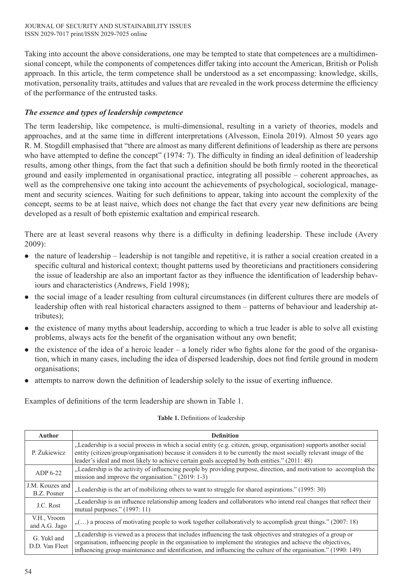Taking into account the above considerations, one may be tempted to state that competences are a multidimensional concept, while the components of competences differ taking into account the American, British or Polish approach. In this article, the term competence shall be understood as a set encompassing: knowledge, skills, motivation, personality traits, attitudes and values that are revealed in the work process determine the efficiency of the performance of the entrusted tasks.

# *The essence and types of leadership competence*

The term leadership, like competence, is multi-dimensional, resulting in a variety of theories, models and approaches, and at the same time in different interpretations (Alvesson, Einola 2019). Almost 50 years ago R. M. Stogdill emphasised that "there are almost as many different definitions of leadership as there are persons who have attempted to define the concept" (1974: 7). The difficulty in finding an ideal definition of leadership results, among other things, from the fact that such a definition should be both firmly rooted in the theoretical ground and easily implemented in organisational practice, integrating all possible – coherent approaches, as well as the comprehensive one taking into account the achievements of psychological, sociological, management and security sciences. Waiting for such definitions to appear, taking into account the complexity of the concept, seems to be at least naive, which does not change the fact that every year new definitions are being developed as a result of both epistemic exaltation and empirical research.

There are at least several reasons why there is a difficulty in defining leadership. These include (Avery 2009):

- $\bullet$  the nature of leadership leadership is not tangible and repetitive, it is rather a social creation created in a specific cultural and historical context; thought patterns used by theoreticians and practitioners considering the issue of leadership are also an important factor as they influence the identification of leadership behaviours and characteristics (Andrews, Field 1998);
- the social image of a leader resulting from cultural circumstances (in different cultures there are models of leadership often with real historical characters assigned to them – patterns of behaviour and leadership attributes);
- $\bullet$  the existence of many myths about leadership, according to which a true leader is able to solve all existing problems, always acts for the benefit of the organisation without any own benefit;
- $\bullet$  the existence of the idea of a heroic leader a lonely rider who fights alone for the good of the organisation, which in many cases, including the idea of dispersed leadership, does not find fertile ground in modern organisations;
- attempts to narrow down the definition of leadership solely to the issue of exerting influence.

Examples of definitions of the term leadership are shown in Table 1.

| <b>Author</b>                  | <b>Definition</b>                                                                                                                                                                                                                                                                                                                                |
|--------------------------------|--------------------------------------------------------------------------------------------------------------------------------------------------------------------------------------------------------------------------------------------------------------------------------------------------------------------------------------------------|
| P. Żukiewicz                   | "Leadership is a social process in which a social entity (e.g. citizen, group, organisation) supports another social<br>entity (citizen/group/organisation) because it considers it to be currently the most socially relevant image of the<br>leader's ideal and most likely to achieve certain goals accepted by both entities." (2011: 48)    |
| $ADP6-22$                      | "Leadership is the activity of influencing people by providing purpose, direction, and motivation to accomplish the<br>mission and improve the organisation." (2019: 1-3)                                                                                                                                                                        |
| J.M. Kouzes and<br>B.Z. Posner | "Leadership is the art of mobilizing others to want to struggle for shared aspirations." (1995: 30)                                                                                                                                                                                                                                              |
| J.C. Rost                      | "Leadership is an influence relationship among leaders and collaborators who intend real changes that reflect their<br>mutual purposes." $(1997:11)$                                                                                                                                                                                             |
| V.H., Vroom<br>and A.G. Jago   | "() a process of motivating people to work together collaboratively to accomplish great things." (2007: 18)                                                                                                                                                                                                                                      |
| G. Yukl and<br>D.D. Van Fleet  | "Leadership is viewed as a process that includes influencing the task objectives and strategies of a group or<br>organisation, influencing people in the organisation to implement the strategies and achieve the objectives,<br>influencing group maintenance and identification, and influencing the culture of the organisation." (1990: 149) |

### **Table 1.** Definitions of leadership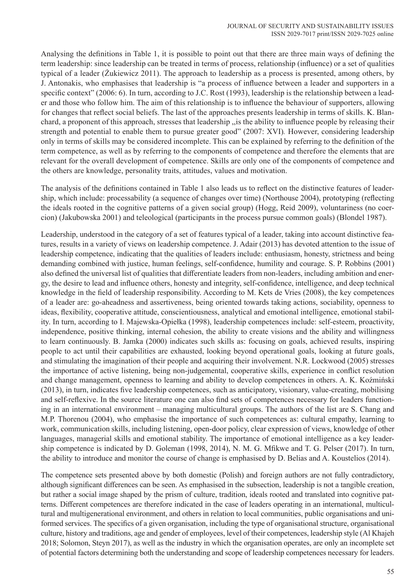Analysing the definitions in Table 1, it is possible to point out that there are three main ways of defining the term leadership: since leadership can be treated in terms of process, relationship (influence) or a set of qualities typical of a leader (Żukiewicz 2011). The approach to leadership as a process is presented, among others, by J. Antonakis, who emphasises that leadership is "a process of influence between a leader and supporters in a specific context" (2006: 6). In turn, according to J.C. Rost (1993), leadership is the relationship between a leader and those who follow him. The aim of this relationship is to influence the behaviour of supporters, allowing for changes that reflect social beliefs. The last of the approaches presents leadership in terms of skills. K. Blanchard, a proponent of this approach, stresses that leadership ,,is the ability to influence people by releasing their strength and potential to enable them to pursue greater good" (2007: XVI)*.* However, considering leadership only in terms of skills may be considered incomplete. This can be explained by referring to the definition of the term competence, as well as by referring to the components of competence and therefore the elements that are relevant for the overall development of competence. Skills are only one of the components of competence and the others are knowledge, personality traits, attitudes, values and motivation.

The analysis of the definitions contained in Table 1 also leads us to reflect on the distinctive features of leadership, which include: processability (a sequence of changes over time) (Northouse 2004), prototyping (reflecting the ideals rooted in the cognitive patterns of a given social group) (Hogg, Reid 2009), voluntariness (no coercion) (Jakubowska 2001) and teleological (participants in the process pursue common goals) (Blondel 1987).

Leadership, understood in the category of a set of features typical of a leader, taking into account distinctive features, results in a variety of views on leadership competence. J. Adair (2013) has devoted attention to the issue of leadership competence, indicating that the qualities of leaders include: enthusiasm, honesty, strictness and being demanding combined with justice, human feelings, self-confidence, humility and courage. S. P. Robbins (2001) also defined the universal list of qualities that differentiate leaders from non-leaders, including ambition and energy, the desire to lead and influence others, honesty and integrity, self-confidence, intelligence, and deep technical knowledge in the field of leadership responsibility. According to M. Kets de Vries (2008), the key competences of a leader are: go-aheadness and assertiveness, being oriented towards taking actions, sociability, openness to ideas, flexibility, cooperative attitude, conscientiousness, analytical and emotional intelligence, emotional stability. In turn, according to I. Majewska-Opiełka (1998), leadership competences include: self-esteem, proactivity, independence, positive thinking, internal cohesion, the ability to create visions and the ability and willingness to learn continuously. B. Jamka (2000) indicates such skills as: focusing on goals, achieved results, inspiring people to act until their capabilities are exhausted, looking beyond operational goals, looking at future goals, and stimulating the imagination of their people and acquiring their involvement. N.R. Lockwood (2005) stresses the importance of active listening, being non-judgemental, cooperative skills, experience in conflict resolution and change management, openness to learning and ability to develop competences in others. A. K. Koźmiński (2013), in turn, indicates five leadership competences, such as anticipatory, visionary, value-creating, mobilising and self-reflexive. In the source literature one can also find sets of competences necessary for leaders functioning in an international environment – managing multicultural groups. The authors of the list are S. Chang and M.P. Thorenou (2004), who emphasise the importance of such competences as: cultural empathy, learning to work, communication skills, including listening, open-door policy, clear expression of views, knowledge of other languages, managerial skills and emotional stability. The importance of emotional intelligence as a key leadership competence is indicated by D. Goleman (1998, 2014), N. M. G. Mfikwe and T. G. Pelser (2017). In turn, the ability to introduce and monitor the course of change is emphasised by D. Belias and A. Koustelios (2014).

The competence sets presented above by both domestic (Polish) and foreign authors are not fully contradictory, although significant differences can be seen. As emphasised in the subsection, leadership is not a tangible creation, but rather a social image shaped by the prism of culture, tradition, ideals rooted and translated into cognitive patterns. Different competences are therefore indicated in the case of leaders operating in an international, multicultural and multigenerational environment, and others in relation to local communities, public organisations and uniformed services. The specifics of a given organisation, including the type of organisational structure, organisational culture, history and traditions, age and gender of employees, level of their competences, leadership style (Al Khajeh 2018; Solomon, Steyn 2017), as well as the industry in which the organisation operates, are only an incomplete set of potential factors determining both the understanding and scope of leadership competences necessary for leaders.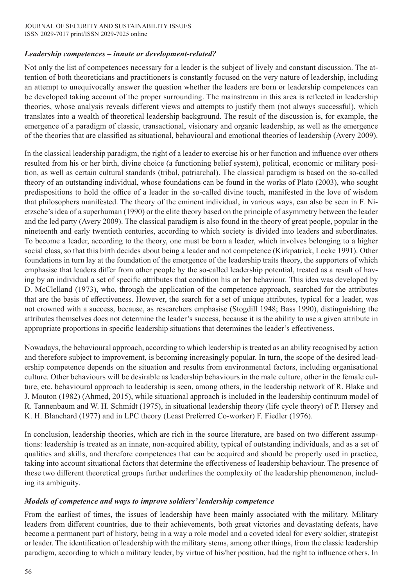# *Leadership competences – innate or development-related?*

Not only the list of competences necessary for a leader is the subject of lively and constant discussion. The attention of both theoreticians and practitioners is constantly focused on the very nature of leadership, including an attempt to unequivocally answer the question whether the leaders are born or leadership competences can be developed taking account of the proper surrounding. The mainstream in this area is reflected in leadership theories, whose analysis reveals different views and attempts to justify them (not always successful), which translates into a wealth of theoretical leadership background. The result of the discussion is, for example, the emergence of a paradigm of classic, transactional, visionary and organic leadership, as well as the emergence of the theories that are classified as situational, behavioural and emotional theories of leadership (Avery 2009).

In the classical leadership paradigm, the right of a leader to exercise his or her function and influence over others resulted from his or her birth, divine choice (a functioning belief system), political, economic or military position, as well as certain cultural standards (tribal, patriarchal). The classical paradigm is based on the so-called theory of an outstanding individual, whose foundations can be found in the works of Plato (2003), who sought predispositions to hold the office of a leader in the so-called divine touch, manifested in the love of wisdom that philosophers manifested. The theory of the eminent individual, in various ways, can also be seen in F. Nietzsche's idea of a superhuman (1990) or the elite theory based on the principle of asymmetry between the leader and the led party (Avery 2009). The classical paradigm is also found in the theory of great people, popular in the nineteenth and early twentieth centuries, according to which society is divided into leaders and subordinates. To become a leader, according to the theory, one must be born a leader, which involves belonging to a higher social class, so that this birth decides about being a leader and not competence (Kirkpatrick, Locke 1991). Other foundations in turn lay at the foundation of the emergence of the leadership traits theory, the supporters of which emphasise that leaders differ from other people by the so-called leadership potential, treated as a result of having by an individual a set of specific attributes that condition his or her behaviour. This idea was developed by D. McClelland (1973), who, through the application of the competence approach, searched for the attributes that are the basis of effectiveness. However, the search for a set of unique attributes, typical for a leader, was not crowned with a success, because, as researchers emphasise (Stogdill 1948; Bass 1990), distinguishing the attributes themselves does not determine the leader's success, because it is the ability to use a given attribute in appropriate proportions in specific leadership situations that determines the leader's effectiveness.

Nowadays, the behavioural approach, according to which leadership is treated as an ability recognised by action and therefore subject to improvement, is becoming increasingly popular. In turn, the scope of the desired leadership competence depends on the situation and results from environmental factors, including organisational culture. Other behaviours will be desirable as leadership behaviours in the male culture, other in the female culture, etc. behavioural approach to leadership is seen, among others, in the leadership network of R. Blake and J. Mouton (1982) (Ahmed, 2015), while situational approach is included in the leadership continuum model of R. Tannenbaum and W. H. Schmidt (1975), in situational leadership theory (life cycle theory) of P. Hersey and K. H. Blanchard (1977) and in LPC theory (Least Preferred Co-worker) F. Fiedler (1976).

In conclusion, leadership theories, which are rich in the source literature, are based on two different assumptions: leadership is treated as an innate, non-acquired ability, typical of outstanding individuals, and as a set of qualities and skills, and therefore competences that can be acquired and should be properly used in practice, taking into account situational factors that determine the effectiveness of leadership behaviour. The presence of these two different theoretical groups further underlines the complexity of the leadership phenomenon, including its ambiguity.

## *Models of competence and ways to improve soldiers' leadership competence*

From the earliest of times, the issues of leadership have been mainly associated with the military. Military leaders from different countries, due to their achievements, both great victories and devastating defeats, have become a permanent part of history, being in a way a role model and a coveted ideal for every soldier, strategist or leader. The identification of leadership with the military stems, among other things, from the classic leadership paradigm, according to which a military leader, by virtue of his/her position, had the right to influence others. In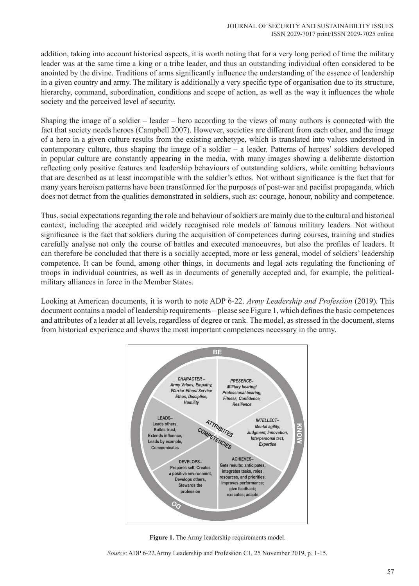addition, taking into account historical aspects, it is worth noting that for a very long period of time the military leader was at the same time a king or a tribe leader, and thus an outstanding individual often considered to be anointed by the divine. Traditions of arms significantly influence the understanding of the essence of leadership in a given country and army. The military is additionally a very specific type of organisation due to its structure, hierarchy, command, subordination, conditions and scope of action, as well as the way it influences the whole society and the perceived level of security.

Shaping the image of a soldier – leader – hero according to the views of many authors is connected with the fact that society needs heroes (Campbell 2007). However, societies are different from each other, and the image of a hero in a given culture results from the existing archetype, which is translated into values understood in contemporary culture, thus shaping the image of a soldier – a leader. Patterns of heroes' soldiers developed in popular culture are constantly appearing in the media, with many images showing a deliberate distortion reflecting only positive features and leadership behaviours of outstanding soldiers, while omitting behaviours that are described as at least incompatible with the soldier's ethos. Not without significance is the fact that for many years heroism patterns have been transformed for the purposes of post-war and pacifist propaganda, which does not detract from the qualities demonstrated in soldiers, such as: courage, honour, nobility and competence.

Thus, social expectations regarding the role and behaviour of soldiers are mainly due to the cultural and historical context, including the accepted and widely recognised role models of famous military leaders. Not without significance is the fact that soldiers during the acquisition of competences during courses, training and studies carefully analyse not only the course of battles and executed manoeuvres, but also the profiles of leaders. It can therefore be concluded that there is a socially accepted, more or less general, model of soldiers' leadership competence. It can be found, among other things, in documents and legal acts regulating the functioning of troops in individual countries, as well as in documents of generally accepted and, for example, the politicalmilitary alliances in force in the Member States.

Looking at American documents, it is worth to note ADP 6-22. *Army Leadership and Profession* (2019)*.* This document contains a model of leadership requirements – please see Figure 1, which defines the basic competences and attributes of a leader at all levels, regardless of degree or rank. The model, as stressed in the document, stems from historical experience and shows the most important competences necessary in the army.



**Figure 1.** The Army leadership requirements model.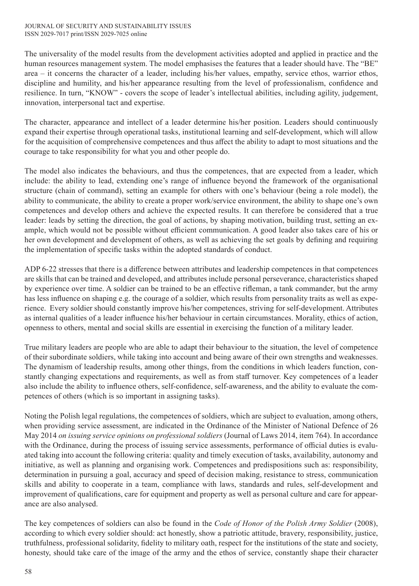#### JOURNAL OF SECURITY AND SUSTAINABILITY ISSUES ISSN 2029-7017 print/ISSN 2029-7025 online

The universality of the model results from the development activities adopted and applied in practice and the human resources management system. The model emphasises the features that a leader should have. The "BE" area – it concerns the character of a leader, including his/her values, empathy, service ethos, warrior ethos, discipline and humility, and his/her appearance resulting from the level of professionalism, confidence and resilience. In turn, "KNOW" - covers the scope of leader's intellectual abilities, including agility, judgement, innovation, interpersonal tact and expertise.

The character, appearance and intellect of a leader determine his/her position. Leaders should continuously expand their expertise through operational tasks, institutional learning and self-development, which will allow for the acquisition of comprehensive competences and thus affect the ability to adapt to most situations and the courage to take responsibility for what you and other people do.

The model also indicates the behaviours, and thus the competences, that are expected from a leader, which include: the ability to lead, extending one's range of influence beyond the framework of the organisational structure (chain of command), setting an example for others with one's behaviour (being a role model), the ability to communicate, the ability to create a proper work/service environment, the ability to shape one's own competences and develop others and achieve the expected results. It can therefore be considered that a true leader: leads by setting the direction, the goal of actions, by shaping motivation, building trust, setting an example, which would not be possible without efficient communication. A good leader also takes care of his or her own development and development of others, as well as achieving the set goals by defining and requiring the implementation of specific tasks within the adopted standards of conduct.

ADP 6-22 stresses that there is a difference between attributes and leadership competences in that competences are skills that can be trained and developed, and attributes include personal perseverance, characteristics shaped by experience over time. A soldier can be trained to be an effective rifleman, a tank commander, but the army has less influence on shaping e.g. the courage of a soldier, which results from personality traits as well as experience. Every soldier should constantly improve his/her competences, striving for self-development. Attributes as internal qualities of a leader influence his/her behaviour in certain circumstances. Morality, ethics of action, openness to others, mental and social skills are essential in exercising the function of a military leader.

True military leaders are people who are able to adapt their behaviour to the situation, the level of competence of their subordinate soldiers, while taking into account and being aware of their own strengths and weaknesses. The dynamism of leadership results, among other things, from the conditions in which leaders function, constantly changing expectations and requirements, as well as from staff turnover. Key competences of a leader also include the ability to influence others, self-confidence, self-awareness, and the ability to evaluate the competences of others (which is so important in assigning tasks).

Noting the Polish legal regulations, the competences of soldiers, which are subject to evaluation, among others, when providing service assessment, are indicated in the Ordinance of the Minister of National Defence of 26 May 2014 *on issuing service opinions on professional soldiers* (Journal of Laws 2014, item 764). In accordance with the Ordinance, during the process of issuing service assessments, performance of official duties is evaluated taking into account the following criteria: quality and timely execution of tasks, availability, autonomy and initiative, as well as planning and organising work. Competences and predispositions such as: responsibility, determination in pursuing a goal, accuracy and speed of decision making, resistance to stress, communication skills and ability to cooperate in a team, compliance with laws, standards and rules, self-development and improvement of qualifications, care for equipment and property as well as personal culture and care for appearance are also analysed.

The key competences of soldiers can also be found in the *Code of Honor of the Polish Army Soldier* (2008), according to which every soldier should: act honestly, show a patriotic attitude, bravery, responsibility, justice, truthfulness, professional solidarity, fidelity to military oath, respect for the institutions of the state and society, honesty, should take care of the image of the army and the ethos of service, constantly shape their character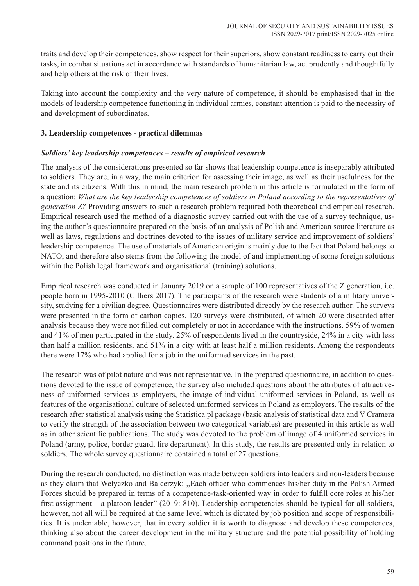traits and develop their competences, show respect for their superiors, show constant readiness to carry out their tasks, in combat situations act in accordance with standards of humanitarian law, act prudently and thoughtfully and help others at the risk of their lives.

Taking into account the complexity and the very nature of competence, it should be emphasised that in the models of leadership competence functioning in individual armies, constant attention is paid to the necessity of and development of subordinates.

# **3. Leadership competences - practical dilemmas**

# *Soldiers' key leadership competences – results of empirical research*

The analysis of the considerations presented so far shows that leadership competence is inseparably attributed to soldiers. They are, in a way, the main criterion for assessing their image, as well as their usefulness for the state and its citizens. With this in mind, the main research problem in this article is formulated in the form of a question: *What are the key leadership competences of soldiers in Poland according to the representatives of generation Z?* Providing answers to such a research problem required both theoretical and empirical research. Empirical research used the method of a diagnostic survey carried out with the use of a survey technique, using the author's questionnaire prepared on the basis of an analysis of Polish and American source literature as well as laws, regulations and doctrines devoted to the issues of military service and improvement of soldiers' leadership competence. The use of materials of American origin is mainly due to the fact that Poland belongs to NATO, and therefore also stems from the following the model of and implementing of some foreign solutions within the Polish legal framework and organisational (training) solutions.

Empirical research was conducted in January 2019 on a sample of 100 representatives of the Z generation, i.e. people born in 1995-2010 (Cilliers 2017). The participants of the research were students of a military university, studying for a civilian degree. Questionnaires were distributed directly by the research author. The surveys were presented in the form of carbon copies. 120 surveys were distributed, of which 20 were discarded after analysis because they were not filled out completely or not in accordance with the instructions. 59% of women and 41% of men participated in the study. 25% of respondents lived in the countryside, 24% in a city with less than half a million residents, and 51% in a city with at least half a million residents. Among the respondents there were 17% who had applied for a job in the uniformed services in the past.

The research was of pilot nature and was not representative. In the prepared questionnaire, in addition to questions devoted to the issue of competence, the survey also included questions about the attributes of attractiveness of uniformed services as employers, the image of individual uniformed services in Poland, as well as features of the organisational culture of selected uniformed services in Poland as employers. The results of the research after statistical analysis using the Statistica.pl package (basic analysis of statistical data and V Cramera to verify the strength of the association between two categorical variables) are presented in this article as well as in other scientific publications. The study was devoted to the problem of image of 4 uniformed services in Poland (army, police, border guard, fire department). In this study, the results are presented only in relation to soldiers. The whole survey questionnaire contained a total of 27 questions.

During the research conducted, no distinction was made between soldiers into leaders and non-leaders because as they claim that Welyczko and Balcerzyk: ,,Each officer who commences his/her duty in the Polish Armed Forces should be prepared in terms of a competence-task-oriented way in order to fulfill core roles at his/her first assignment – a platoon leader" (2019: 810). Leadership competencies should be typical for all soldiers, however, not all will be required at the same level which is dictated by job position and scope of responsibilities. It is undeniable, however, that in every soldier it is worth to diagnose and develop these competences, thinking also about the career development in the military structure and the potential possibility of holding command positions in the future.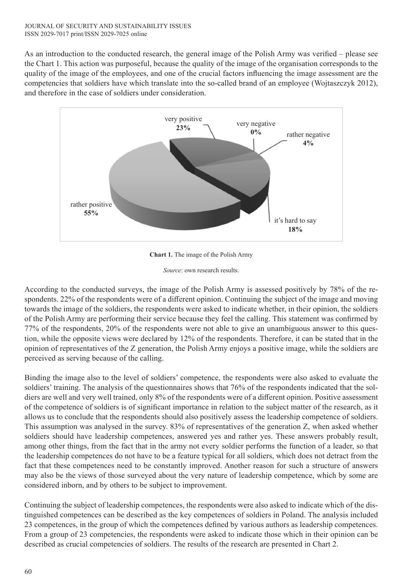As an introduction to the conducted research, the general image of the Polish Army was verified – please see the Chart 1. This action was purposeful, because the quality of the image of the organisation corresponds to the quality of the image of the employees, and one of the crucial factors influencing the image assessment are the competencies that soldiers have which translate into the so-called brand of an employee (Wojtaszczyk 2012), and therefore in the case of soldiers under consideration.



**Chart 1.** The image of the Polish Army

*Source*: own research results.

According to the conducted surveys, the image of the Polish Army is assessed positively by 78% of the respondents. 22% of the respondents were of a different opinion. Continuing the subject of the image and moving towards the image of the soldiers, the respondents were asked to indicate whether, in their opinion, the soldiers of the Polish Army are performing their service because they feel the calling. This statement was confirmed by 77% of the respondents, 20% of the respondents were not able to give an unambiguous answer to this question, while the opposite views were declared by 12% of the respondents. Therefore, it can be stated that in the opinion of representatives of the Z generation, the Polish Army enjoys a positive image, while the soldiers are perceived as serving because of the calling.

Binding the image also to the level of soldiers' competence, the respondents were also asked to evaluate the soldiers' training. The analysis of the questionnaires shows that 76% of the respondents indicated that the soldiers are well and very well trained, only 8% of the respondents were of a different opinion. Positive assessment of the competence of soldiers is of significant importance in relation to the subject matter of the research, as it allows us to conclude that the respondents should also positively assess the leadership competence of soldiers. This assumption was analysed in the survey. 83% of representatives of the generation Z, when asked whether soldiers should have leadership competences, answered yes and rather yes. These answers probably result, among other things, from the fact that in the army not every soldier performs the function of a leader, so that the leadership competences do not have to be a feature typical for all soldiers, which does not detract from the fact that these competences need to be constantly improved. Another reason for such a structure of answers may also be the views of those surveyed about the very nature of leadership competence, which by some are considered inborn, and by others to be subject to improvement.

Continuing the subject of leadership competences, the respondents were also asked to indicate which of the distinguished competences can be described as the key competences of soldiers in Poland. The analysis included 23 competences, in the group of which the competences defined by various authors as leadership competences. From a group of 23 competencies, the respondents were asked to indicate those which in their opinion can be described as crucial competencies of soldiers. The results of the research are presented in Chart 2.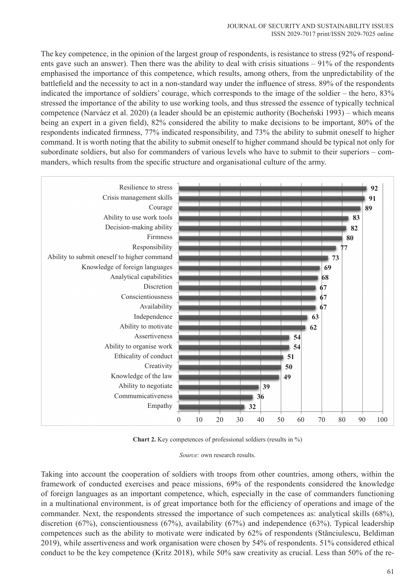The key competence, in the opinion of the largest group of respondents, is resistance to stress (92% of respondents gave such an answer). Then there was the ability to deal with crisis situations – 91% of the respondents emphasised the importance of this competence, which results, among others, from the unpredictability of the battlefield and the necessity to act in a non-standard way under the influence of stress. 89% of the respondents indicated the importance of soldiers' courage, which corresponds to the image of the soldier – the hero, 83% stressed the importance of the ability to use working tools, and thus stressed the essence of typically technical competence (Narváez et al. 2020) (a leader should be an epistemic authority (Bocheński 1993) – which means being an expert in a given field), 82% considered the ability to make decisions to be important, 80% of the respondents indicated firmness, 77% indicated responsibility, and 73% the ability to submit oneself to higher command. It is worth noting that the ability to submit oneself to higher command should be typical not only for subordinate soldiers, but also for commanders of various levels who have to submit to their superiors – commanders, which results from the specific structure and organisational culture of the army.



**Chart 2.** Key competences of professional soldiers (results in %)

*Source:* own research results.

Taking into account the cooperation of soldiers with troops from other countries, among others, within the framework of conducted exercises and peace missions, 69% of the respondents considered the knowledge of foreign languages as an important competence, which, especially in the case of commanders functioning in a multinational environment, is of great importance both for the efficiency of operations and image of the commander. Next, the respondents stressed the importance of such competences as: analytical skills (68%), discretion (67%), conscientiousness (67%), availability (67%) and independence (63%). Typical leadership competences such as the ability to motivate were indicated by 62% of respondents (Stănciulescu, Beldiman 2019), while assertiveness and work organisation were chosen by 54% of respondents. 51% considered ethical conduct to be the key competence (Kritz 2018), while 50% saw creativity as crucial. Less than 50% of the re-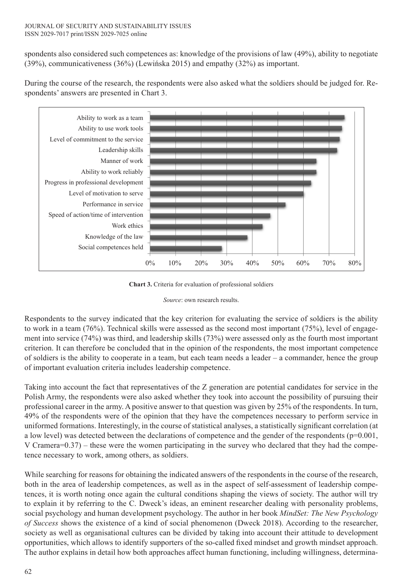#### JOURNAL OF SECURITY AND SUSTAINABILITY ISSUES ISSN 2029-7017 print/ISSN 2029-7025 online

spondents also considered such competences as: knowledge of the provisions of law (49%), ability to negotiate (39%), communicativeness (36%) (Lewińska 2015) and empathy (32%) as important.



During the course of the research, the respondents were also asked what the soldiers should be judged for. Respondents' answers are presented in Chart 3.

**Chart 3.** Criteria for evaluation of professional soldiers

*Source*: own research results.

Respondents to the survey indicated that the key criterion for evaluating the service of soldiers is the ability to work in a team (76%). Technical skills were assessed as the second most important (75%), level of engagement into service (74%) was third, and leadership skills (73%) were assessed only as the fourth most important criterion. It can therefore be concluded that in the opinion of the respondents, the most important competence of soldiers is the ability to cooperate in a team, but each team needs a leader – a commander, hence the group of important evaluation criteria includes leadership competence.

Taking into account the fact that representatives of the Z generation are potential candidates for service in the Polish Army, the respondents were also asked whether they took into account the possibility of pursuing their professional career in the army. A positive answer to that question was given by 25% of the respondents. In turn, 49% of the respondents were of the opinion that they have the competences necessary to perform service in uniformed formations. Interestingly, in the course of statistical analyses, a statistically significant correlation (at a low level) was detected between the declarations of competence and the gender of the respondents  $(p=0.001,$ V Cramera=0.37) – these were the women participating in the survey who declared that they had the competence necessary to work, among others, as soldiers.

While searching for reasons for obtaining the indicated answers of the respondents in the course of the research, both in the area of leadership competences, as well as in the aspect of self-assessment of leadership competences, it is worth noting once again the cultural conditions shaping the views of society. The author will try to explain it by referring to the C. Dweck's ideas, an eminent researcher dealing with personality problems, social psychology and human development psychology. The author in her book *MindSet: The New Psychology of Success* shows the existence of a kind of social phenomenon (Dweck 2018). According to the researcher, society as well as organisational cultures can be divided by taking into account their attitude to development opportunities, which allows to identify supporters of the so-called fixed mindset and growth mindset approach. The author explains in detail how both approaches affect human functioning, including willingness, determina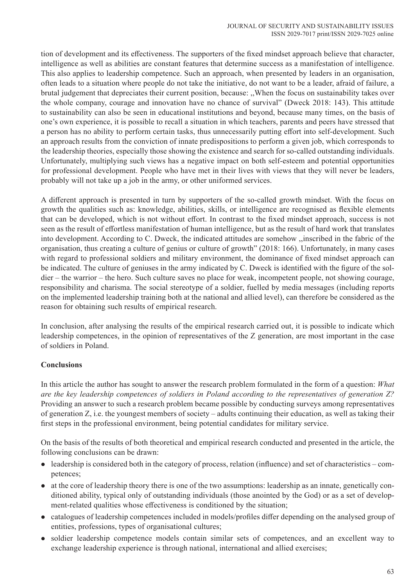tion of development and its effectiveness. The supporters of the fixed mindset approach believe that character, intelligence as well as abilities are constant features that determine success as a manifestation of intelligence. This also applies to leadership competence. Such an approach, when presented by leaders in an organisation, often leads to a situation where people do not take the initiative, do not want to be a leader, afraid of failure, a brutal judgement that depreciates their current position, because: ,,When the focus on sustainability takes over the whole company, courage and innovation have no chance of survival" (Dweck 2018: 143). This attitude to sustainability can also be seen in educational institutions and beyond, because many times, on the basis of one's own experience, it is possible to recall a situation in which teachers, parents and peers have stressed that a person has no ability to perform certain tasks, thus unnecessarily putting effort into self-development. Such an approach results from the conviction of innate predispositions to perform a given job, which corresponds to the leadership theories, especially those showing the existence and search for so-called outstanding individuals. Unfortunately, multiplying such views has a negative impact on both self-esteem and potential opportunities for professional development. People who have met in their lives with views that they will never be leaders, probably will not take up a job in the army, or other uniformed services.

A different approach is presented in turn by supporters of the so-called growth mindset. With the focus on growth the qualities such as: knowledge, abilities, skills, or intelligence are recognised as flexible elements that can be developed, which is not without effort. In contrast to the fixed mindset approach, success is not seen as the result of effortless manifestation of human intelligence, but as the result of hard work that translates into development. According to C. Dweck, the indicated attitudes are somehow ,,inscribed in the fabric of the organisation, thus creating a culture of genius or culture of growth" (2018: 166). Unfortunately, in many cases with regard to professional soldiers and military environment, the dominance of fixed mindset approach can be indicated. The culture of geniuses in the army indicated by C. Dweck is identified with the figure of the soldier – the warrior – the hero. Such culture saves no place for weak, incompetent people, not showing courage, responsibility and charisma. The social stereotype of a soldier, fuelled by media messages (including reports on the implemented leadership training both at the national and allied level), can therefore be considered as the reason for obtaining such results of empirical research.

In conclusion, after analysing the results of the empirical research carried out, it is possible to indicate which leadership competences, in the opinion of representatives of the Z generation, are most important in the case of soldiers in Poland.

# **Conclusions**

In this article the author has sought to answer the research problem formulated in the form of a question: *What are the key leadership competences of soldiers in Poland according to the representatives of generation Z?* Providing an answer to such a research problem became possible by conducting surveys among representatives of generation Z, i.e. the youngest members of society – adults continuing their education, as well as taking their first steps in the professional environment, being potential candidates for military service.

On the basis of the results of both theoretical and empirical research conducted and presented in the article, the following conclusions can be drawn:

- $\bullet$  leadership is considered both in the category of process, relation (influence) and set of characteristics competences;
- $\bullet$  at the core of leadership theory there is one of the two assumptions: leadership as an innate, genetically conditioned ability, typical only of outstanding individuals (those anointed by the God) or as a set of development-related qualities whose effectiveness is conditioned by the situation;
- catalogues of leadership competences included in models/profiles differ depending on the analysed group of entities, professions, types of organisational cultures;
- soldier leadership competence models contain similar sets of competences, and an excellent way to exchange leadership experience is through national, international and allied exercises;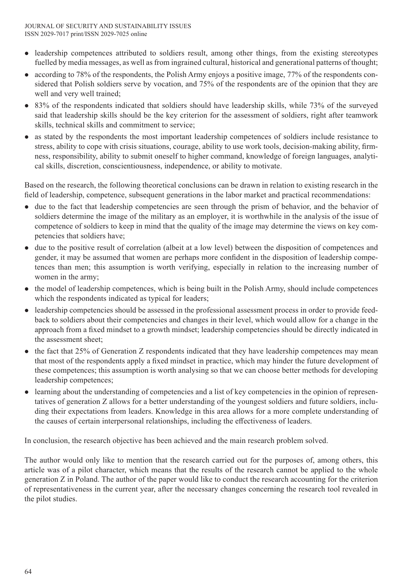- leadership competences attributed to soldiers result, among other things, from the existing stereotypes fuelled by media messages, as well as from ingrained cultural, historical and generational patterns of thought;
- $\bullet$  according to 78% of the respondents, the Polish Army enjoys a positive image, 77% of the respondents considered that Polish soldiers serve by vocation, and 75% of the respondents are of the opinion that they are well and very well trained;
- 83% of the respondents indicated that soldiers should have leadership skills, while 73% of the surveyed said that leadership skills should be the key criterion for the assessment of soldiers, right after teamwork skills, technical skills and commitment to service;
- as stated by the respondents the most important leadership competences of soldiers include resistance to stress, ability to cope with crisis situations, courage, ability to use work tools, decision-making ability, firmness, responsibility, ability to submit oneself to higher command, knowledge of foreign languages, analytical skills, discretion, conscientiousness, independence, or ability to motivate.

Based on the research, the following theoretical conclusions can be drawn in relation to existing research in the field of leadership, competence, subsequent generations in the labor market and practical recommendations:

- due to the fact that leadership competencies are seen through the prism of behavior, and the behavior of soldiers determine the image of the military as an employer, it is worthwhile in the analysis of the issue of competence of soldiers to keep in mind that the quality of the image may determine the views on key competencies that soldiers have;
- $\bullet$  due to the positive result of correlation (albeit at a low level) between the disposition of competences and gender, it may be assumed that women are perhaps more confident in the disposition of leadership competences than men; this assumption is worth verifying, especially in relation to the increasing number of women in the army;
- the model of leadership competences, which is being built in the Polish Army, should include competences which the respondents indicated as typical for leaders;
- leadership competencies should be assessed in the professional assessment process in order to provide feedback to soldiers about their competencies and changes in their level, which would allow for a change in the approach from a fixed mindset to a growth mindset; leadership competencies should be directly indicated in the assessment sheet;
- l the fact that 25% of Generation Z respondents indicated that they have leadership competences may mean that most of the respondents apply a fixed mindset in practice, which may hinder the future development of these competences; this assumption is worth analysing so that we can choose better methods for developing leadership competences;
- learning about the understanding of competencies and a list of key competencies in the opinion of representatives of generation Z allows for a better understanding of the youngest soldiers and future soldiers, including their expectations from leaders. Knowledge in this area allows for a more complete understanding of the causes of certain interpersonal relationships, including the effectiveness of leaders.

In conclusion, the research objective has been achieved and the main research problem solved.

The author would only like to mention that the research carried out for the purposes of, among others, this article was of a pilot character, which means that the results of the research cannot be applied to the whole generation Z in Poland. The author of the paper would like to conduct the research accounting for the criterion of representativeness in the current year, after the necessary changes concerning the research tool revealed in the pilot studies.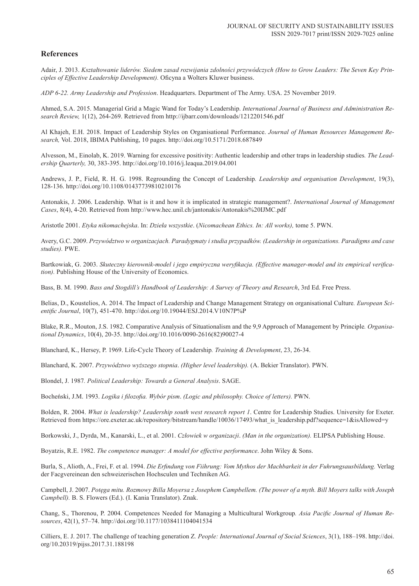### **References**

Adair, J. 2013. *Kształtowanie liderów. Siedem zasad rozwijania zdolności przywódczych (How to Grow Leaders: The Seven Key Principles of Effective Leadership Development).* Oficyna a Wolters Kluwer business.

*ADP 6-22. Army Leadership and Profession*. Headquarters. Department of The Army. USA. 25 November 2019.

Ahmed, S.A. 2015. Managerial Grid a Magic Wand for Today's Leadership. *International Journal of Business and Administration Research Review,* 1(12), 264-269. Retrieved from http://ijbarr.com/downloads/1212201546.pdf

Al Khajeh, E.H. 2018. Impact of Leadership Styles on Organisational Performance. *Journal of Human Resources Management Research,* Vol. 2018, IBIMA Publishing, 10 pages. http://doi.org/10.5171/2018.687849

Alvesson, M., Einolab, K. 2019. Warning for excessive positivity: Authentic leadership and other traps in leadership studies*. The Leadership Quarterly,* 30, 383-395. http://doi.org/10.1016/j.leaqua.2019.04.001

Andrews, J. P., Field, R. H. G. 1998. Regrounding the Concept of Leadership*. Leadership and organisation Development*, 19(3), 128-136. http://doi.org/10.1108/01437739810210176

Antonakis, J. 2006. Leadership. What is it and how it is implicated in strategic management?. *International Journal of Management Cases*, 8(4), 4-20. Retrieved from http://www.hec.unil.ch/jantonakis/Antonakis%20IJMC.pdf

Aristotle 2001. *Etyka nikomachejska*. In: *Dzieła wszystkie*. (*Nicomachean Ethics. In: All works),* tome 5. PWN.

Avery, G.C. 2009. *Przywództwo w organizacjach. Paradygmaty i studia przypadków. (Leadership in organizations. Paradigms and case studies).* PWE.

Bartkowiak, G. 2003. *Skuteczny kierownik-model i jego empiryczna weryfikacja. (Effective manager-model and its empirical verification).* Publishing House of the University of Economics.

Bass, B. M. 1990. *Bass and Stogdill's Handbook of Leadership: A Survey of Theory and Research*, 3rd Ed. Free Press.

Belias, D., Koustelios, A. 2014. The Impact of Leadership and Change Management Strategy on organisational Culture*. European Scientific Journal*, 10(7), 451-470. http://doi.org/10.19044/ESJ.2014.V10N7P%P

Blake, R.R., Mouton, J.S. 1982. Comparative Analysis of Situationalism and the 9,9 Approach of Management by Principle*. Organisational Dynamics*, 10(4), 20-35. http://doi.org/10.1016/0090-2616(82)90027-4

Blanchard, K., Hersey, P. 1969. Life-Cycle Theory of Leadership*. Training & Development*, 23, 26-34.

Blanchard, K. 2007. *Przywództwo wyższego stopnia*. *(Higher level leadership).* (A. Bekier Translator). PWN.

Blondel, J. 1987*. Political Leadership: Towards a General Analysis*. SAGE.

Bocheński, J.M. 1993. *Logika i filozofia. Wybór pism*. *(Logic and philosophy. Choice of letters).* PWN.

Bolden, R. 2004. *What is leadership? Leadership south west research report 1*. Centre for Leadership Studies. University for Exeter. Retrieved from https://ore.exeter.ac.uk/repository/bitstream/handle/10036/17493/what\_is\_leadership.pdf?sequence=1&isAllowed=y

Borkowski, J., Dyrda, M., Kanarski, L., et al. 2001. *Człowiek w organizacji*. *(Man in the organization).* ELIPSA Publishing House.

Boyatzis, R.E. 1982. *The competence manager: A model for effective performance*. John Wiley & Sons.

Burla, S., Alioth, A., Frei, F. et al. 1994. *Die Erfindung von Fiihrung: Vom Mythos der Machbarkeit in der Fuhrungsausbildung.* Verlag der Facgvereinean den schweizerischen Hochsculen und Techniken AG.

Campbell, J. 2007. *Potęga mitu. Rozmowy Billa Moyersa z Josephem Campbellem. (The power of a myth. Bill Moyers talks with Joseph Campbell).* B. S. Flowers (Ed.). (I. Kania Translator). Znak.

Chang, S., Thorenou, P. 2004. Competences Needed for Managing a Multicultural Workgroup*. Asia Pacific Journal of Human Resources*, 42(1), 57–74. http://doi.org/10.1177/1038411104041534

Cilliers, E. J. 2017. The challenge of teaching generation Z*. People: International Journal of Social Sciences*, 3(1), 188–198. http://doi. org/10.20319/pijss.2017.31.188198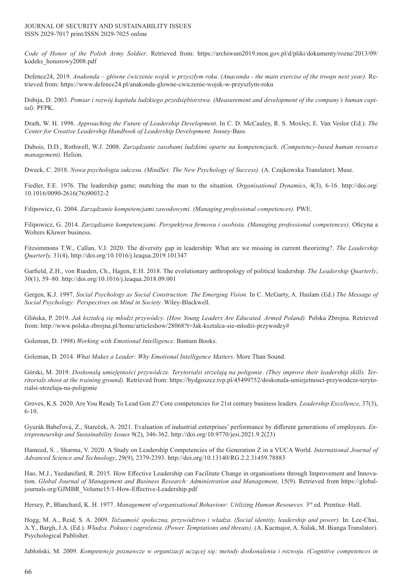*Code of Honor of the Polish Army Soldier*. Retrieved from: https://archiwum2019.mon.gov.pl/d/pliki/dokumenty/rozne/2013/09/ kodeks\_honorowy2008.pdf

Defence24, 2019. *Anakonda – główne ćwiczenie wojsk w przyszłym roku. (Anaconda - the main exercise of the troops next year).* Retrieved from: https://www.defence24.pl/anakonda-glowne-cwiczenie-wojsk-w-przyszlym-roku

Dobija, D. 2003. *Pomiar i rozwój kapitału ludzkiego przedsiębiorstwa. (Measurement and development of the company's human capital).* PFPK.

Drath, W. H. 1998. *Approaching the Future of Leadership Development*. In C. D. McCauley, R. S. Moxley, E. Van Veslor (Ed.). *The Center for Creative Leadership Handbook of Leadership Development.* Jossey-Bass.

Dubois, D.D., Rothwell, W.J. 2008. *Zarządzanie zasobami ludzkimi oparte na kompetencjach*. *(Competency-based human resource management).* Helion.

Dweck, C. 2018. *Nowa psychologia sukcesu*. *(MindSet: The New Psychology of Success).* (A. Czajkowska Translator). Muse.

Fiedler, F.E. 1976. The leadership game; matching the man to the situation*. Organisational Dynamics*, 4(3), 6-16. http://doi.org/ 10.1016/0090-2616(76)90032-2

Filipowicz, G. 2004. *Zarządzanie kompetencjami zawodowymi*. *(Managing professional competences).* PWE.

Filipowicz, G. 2014. *Zarządzanie kompetencjami. Perspektywa firmowa i osobista*. *(Managing professional competences).* Oficyna a Wolters Kluwer business.

Fitzsimmons T.W., Callan, V.J. 2020. The diversity gap in leadership: What are we missing in current theorizing?. *The Leadership Quarterly,* 31(4), http://doi.org/10.1016/j.leaqua.2019.101347

Garfield, Z.H., von Rueden, Ch., Hagen, E.H. 2018. The evolutionary anthropology of political leadership*. The Leadership Quarterly*, 30(1), 59–80. http://doi.org/10.1016/j.leaqua.2018.09.001

Gergen, K.J. 1997. *Social Psychology as Social Construction: The Emerging Vision.* In C. McGarty, A. Haslam (Ed.) *The Message of Social Psychology: Perspectives on Mind in Society*. Wiley-Blackwell.

Glińska, P. 2019. *Jak kształcą się młodzi przywódcy*. *(How Young Leaders Are Educated. Armed Poland).* Polska Zbrojna. Retrieved from: http://www.polska-zbrojna.pl/home/articleshow/28068?t=Jak-ksztalca-sie-mlodzi-przywodcy#

Goleman, D. 1998) *Working with Emotional Intelligence*. Bantam Books.

Goleman, D. 2014. *What Makes a Leader: Why Emotional Intelligence Matters*. More Than Sound.

Górski, M. 2019. *Doskonalą umiejętności przywódcze. Terytorialsi strzelają na poligonie*. *(They improve their leadership skills. Territorials shoot at the training ground).* Retrieved from: https://bydgoszcz.tvp.pl/45499752/doskonala-umiejetnosci-przywodcze-terytorialsi-strzelaja-na-poligonie

Groves, K.S. 2020. Are You Ready To Lead Gen Z? Core competencies for 21st century business leaders*. Leadership Excellence*, 37(3), 6-10.

Gyurák Babeľová, Z., Stareček, A. 2021. Evaluation of industrial enterprises' performance by different generations of employees. *Entrepreneurship and Sustainability Issues* 9(2), 346-362. http://doi.org/10.9770/jesi.2021.9.2(23)

Hameed, S. , Sharma, V. 2020. A Study on Leadership Competencies of the Generation Z in a VUCA World*. International Journal of Advanced Science and Technology*, 29(9), 2379-2393. http://doi.org/10.13140/RG.2.2.31459.78883

Hao, M.J., Yazdanifard, R. 2015. How Effective Leadership can Facilitate Change in organisations through Improvement and Innovation. Global Journal of Management and Business Research: Administration and Management, 15(9). Retrieved from https://globaljournals.org/GJMBR\_Volume15/1-How-Effective-Leadership.pdf

Hersey, P., Blanchard, K. H. 1977. *Management of organisational Behaviour: Utilizing Human Resources.* 3<sup>rd</sup> ed. Prentice–Hall.

Hogg, M. A., Reid, S. A. 2009. *Tożsamość społeczna, przywództwo i władza. (Social identity, leadership and power).* In: Lee-Chai, A.Y., Bargh, J.A. (Ed.). *Władza. Pokusy i zagrożenia. (Power. Temptations and threats).* (A. Kacmajor, A. Sulak, M. Bianga Translator). Psychological Publisher.

Jabłoński, M. 2009. *Kompetencje poznawcze w organizacji uczącej się: metody doskonalenia i rozwoju. (Cognitive competences in*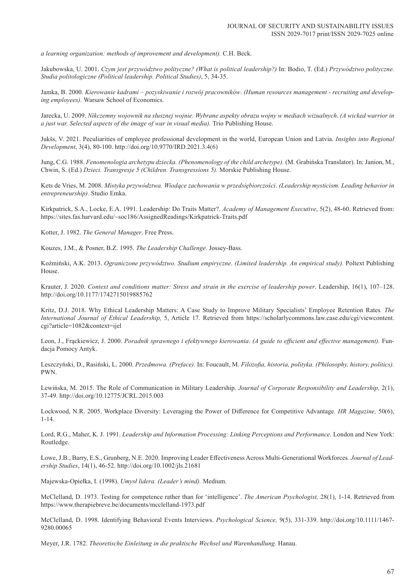*a learning organization: methods of improvement and development).* C.H. Beck.

Jakubowska, U. 2001. *Czym jest przywództwo polityczne? (What is political leadership?)* In: Bodio, T. (Ed.) *Przywództwo polityczne. Studia politologiczne (Political leadership. Political Studies)*, 5, 34-35.

Jamka, B. 2000. *Kierowanie kadrami – pozyskiwanie i rozwój pracowników*. *(Human resources management - recruiting and developing employees).* Warsaw School of Economics.

Jarecka, U. 2009. *Nikczemny wojownik na słusznej wojnie. Wybrane aspekty obrazu wojny w mediach wizualnych*. *(A wicked warrior in a just war. Selected aspects of the image of war in visual media).* Trio Publishing House.

Jukšs, V. 2021. Peculiarities of employee professional development in the world, European Union and Latvia. *Insights into Regional Development*, 3(4), 80-100. http://doi.org/10.9770/IRD.2021.3.4(6)

Jung, C.G. 1988. *Fenomenologia archetypu dziecka. (Phenomenology of the child archetype).* (M. Grabińska Translator). In: Janion, M., Chwin, S. (Ed.) *Dzieci. Transgresje 5 (Children. Transgressions 5).* Morskie Publishing House.

Kets de Vries, M. 2008. *Mistyka przywództwa. Wiodące zachowania w przedsiębiorczości*. *(Leadership mysticism. Leading behavior in entrepreneurship).* Studio Emka.

Kirkpatrick, S.A., Locke, E.A. 1991. Leadership: Do Traits Matter?. *Academy of Management Executive*, 5(2), 48-60. Retrieved from: https://sites.fas.harvard.edu/~soc186/AssignedReadings/Kirkpatrick-Traits.pdf

Kotter, J. 1982. *The General Manager*. Free Press.

Kouzes, J.M., & Posner, B.Z. 1995. *The Leadership Challenge.* Jossey-Bass.

Koźmiński, A.K. 2013. *Ograniczone przywództwo. Studium empiryczne*. *(Limited leadership. An empirical study).* Poltext Publishing House.

Krauter, J. 2020. *Context and conditions matter: Stress and strain in the exercise of leadership power*. Leadership, 16(1), 107–128. http://doi.org/10.1177/1742715019885762

Kritz, D.J. 2018. Why Ethical Leadership Matters: A Case Study to Improve Military Specialists' Employee Retention Rates*. The International Journal of Ethical Leadership,* 5, Article 17. Retrieved from https://scholarlycommons.law.case.edu/cgi/viewcontent. cgi?article=1082&context=ijel

Leon, J., Frąckiewicz, J. 2000. *Poradnik sprawnego i efektywnego kierowania*. *(A guide to efficient and effective management).* Fundacja Pomocy Antyk.

Leszczyński, D., Rasiński, L. 2000. *Przedmowa. (Preface).* In: Foucault, M. *Filozofia, historia, polityka. (Philosophy, history, politics).* PWN.

Lewińska, M. 2015. The Role of Communication in Military Leadership. *Journal of Corporate Responsibility and Leadership,* 2(1), 37-49. http://doi.org/10.12775/JCRL.2015.003

Lockwood, N.R. 2005. Workplace Diversity: Leveraging the Power of Difference for Competitive Advantage*. HR Magazine,* 50(6), 1-14.

Lord, R.G., Maher, K. J. 1991. *Leadership and Information Processing: Linking Perceptions and Performance*. London and New York: Routledge.

Lowe, J.B., Barry, E.S., Grunberg, N.E. 2020. Improving Leader Effectiveness Across Multi‐Generational Workforces*. Journal of Leadership Studies*, 14(1), 46-52. http://doi.org/10.1002/jls.21681

Majewska-Opiełka, I. (1998). *Umysł lidera. (Leader's mind).* Medium.

McClelland, D. 1973. Testing for competence rather than for 'intelligence'. *The American Psychologist,* 28(1), 1-14. Retrieved from https://www.therapiebreve.be/documents/mcclelland-1973.pdf

McClelland, D. 1998. Identifying Behavioral Events Interviews. *Psychological Science,* 9(5), 331-339. http://doi.org/10.1111/1467- 9280.00065

Meyer, J.R. 1782. *Theoretische Einleitung in die praktische Wechsel und Warenhandlung.* Hanau.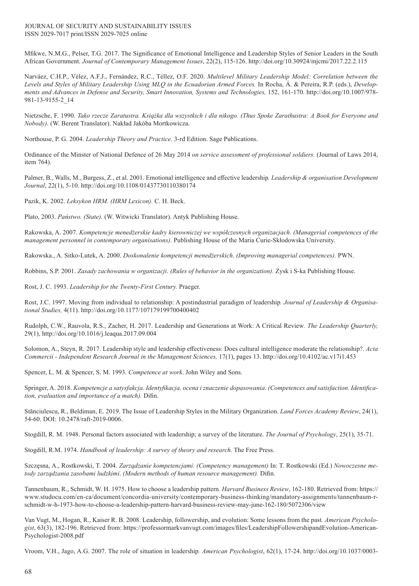#### JOURNAL OF SECURITY AND SUSTAINABILITY ISSUES ISSN 2029-7017 print/ISSN 2029-7025 online

Mfikwe, N.M.G., Pelser, T.G. 2017. The Significance of Emotional Intelligence and Leadership Styles of Senior Leaders in the South African Government. *Journal of Contemporary Management Issues*, 22(2), 115-126. http://doi.org/10.30924/mjcmi/2017.22.2.115

Narváez, C.H.P., Vélez, A.F.J., Fernández, R.C., Téllez, O.F. 2020. *Multilevel Military Leadership Model: Correlation between the Levels and Styles of Military Leadership Using MLQ in the Ecuadorian Armed Forces.* In Rocha, Á. & Pereira, R.P. (eds.), *Developments and Advances in Defense and Security, Smart Innovation, Systems and Technologies,* 152, 161-170. http://doi.org/10.1007/978- 981-13-9155-2\_14

Nietzsche, F. 1990. *Tako rzecze Zaratustra. Książka dla wszystkich i dla nikogo. (Thus Spoke Zarathustra: A Book for Everyone and Nobody)*. (W. Berent Translator). Nakład Jakóba Mortkowicza.

Northouse, P. G. 2004. *Leadership Theory and Practice.* 3-rd Edition. Sage Publications.

Ordinance of the Minster of National Defence of 26 May 2014 *on service assessment of professional soldiers.* (Journal of Laws 2014, item 764).

Palmer, B., Walls, M., Burgess, Z., et al. 2001. Emotional intelligence and effective leadership*. Leadership & organisation Development Journal*, 22(1), 5-10. http://doi.org/10.1108/01437730110380174

Pazik, K. 2002. *Leksykon HRM. (HRM Lexicon).* C. H. Beck.

Plato, 2003. *Państwo. (State).* (W. Witwicki Translator). Antyk Publishing House.

Rakowska, A. 2007. *Kompetencje menedżerskie kadry kierowniczej we współczesnych organizacjach. (Managerial competences of the management personnel in contemporary organisations).* Publishing House of the Maria Curie-Skłodowska University.

Rakowska., A. Sitko-Lutek, A. 2000. *Doskonalenie kompetencji menedżerskich*. *(Improving managerial competences).* PWN.

Robbins, S.P. 2001. *Zasady zachowania w organizacji*. *(Rules of behavior in the organization).* Zysk i S-ka Publishing House.

Rost, J. C. 1993. *Leadership for the Twenty-First Century.* Praeger.

Rost, J.C. 1997. Moving from individual to relationship: A postindustrial paradigm of leadership*. Journal of Leadership & Organisational Studies,* 4(11). http://doi.org/10.1177/107179199700400402

Rudolph, C.W., Rauvola, R.S., Zacher, H. 2017. Leadership and Generations at Work: A Critical Review*. The Leadership Quarterly,* 29(1), http://doi.org/10.1016/j.leaqua.2017.09.004

Solomon, A., Steyn, R. 2017. Leadership style and leadership effectiveness: Does cultural intelligence moderate the relationship?. *Acta Commercii - Independent Research Journal in the Management Sciences,* 17(1), pages 13. http://doi.org/10.4102/ac.v17i1.453

Spencer, L. M. & Spencer, S. M. 1993. *Competence at work*. John Wiley and Sons.

Springer, A. 2018. *Kompetencje a satysfakcja. Identyfikacja, ocena i znaczenie dopasowania*. *(Competences and satisfaction. Identification, evaluation and importance of a match).* Difin.

Stănciulescu, R., Beldiman, E. 2019. The Issue of Leadership Styles in the Military Organization*. Land Forces Academy Review*, 24(1), 54-60. DOI: 10.2478/raft-2019-0006.

Stogdill, R. M. 1948. Personal factors associated with leadership; a survey of the literature. *The Journal of Psychology*, 25(1), 35-71.

Stogdill, R.M. 1974. *Handbook of leadership: A survey of theory and research.* The Free Press.

Szczęsna, A., Rostkowski, T. 2004. *Zarządzanie kompetencjami. (Competency management)* In: T. Rostkowski (Ed.) *Nowoczesne metody zarządzania zasobami ludzkimi*. *(Modern methods of human resource management).* Difin.

Tannenbaum, R., Schmidt, W. H. 1975. How to choose a leadership pattern*. Harvard Business Review*, 162-180. Retrieved from: https:// www.studocu.com/en-ca/document/concordia-university/contemporary-business-thinking/mandatory-assignments/tannenbaum-rschmidt-w-h-1973-how-to-choose-a-leadership-pattern-harvard-business-review-may-june-162-180/5072306/view

Van Vugt, M., Hogan, R., Kaiser R. B. 2008. Leadership, followership, and evolution: Some lessons from the past*. American Psychologist*, 63(3), 182-196. Retrieved from: https://professormarkvanvugt.com/images/files/LeadershipFollowershipandEvolution-American-Psychologist-2008.pdf

Vroom, V.H., Jago, A.G. 2007. The role of situation in leadership*. American Psychologist*, 62(1), 17-24. http://doi.org/10.1037/0003-